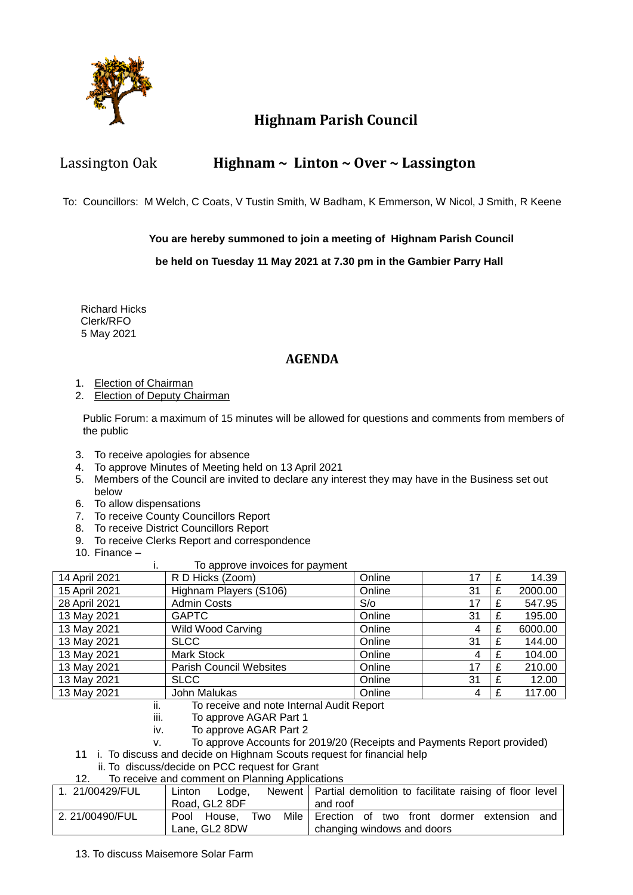

### **Highnam Parish Council**

### Lassington Oak **Highnam ~ Linton ~ Over ~ Lassington**

To: Councillors: M Welch, C Coats, V Tustin Smith, W Badham, K Emmerson, W Nicol, J Smith, R Keene

#### **You are hereby summoned to join a meeting of Highnam Parish Council**

#### **be held on Tuesday 11 May 2021 at 7.30 pm in the Gambier Parry Hall**

 Richard Hicks Clerk/RFO 5 May 2021

### **AGENDA**

- 1. Election of Chairman
- 2. Election of Deputy Chairman

Public Forum: a maximum of 15 minutes will be allowed for questions and comments from members of the public

- 3. To receive apologies for absence
- 4. To approve Minutes of Meeting held on 13 April 2021
- 5. Members of the Council are invited to declare any interest they may have in the Business set out below
- 6. To allow dispensations
- 7. To receive County Councillors Report
- 8. To receive District Councillors Report
- 9. To receive Clerks Report and correspondence
- 10. Finance –

#### i. To approve invoices for payment

| 14 April 2021 | .<br>R D Hicks (Zoom)          | Online | 17 | f | 14.39   |
|---------------|--------------------------------|--------|----|---|---------|
| 15 April 2021 | Highnam Players (S106)         | Online | 31 |   | 2000.00 |
| 28 April 2021 | <b>Admin Costs</b>             | S/O    | 17 |   | 547.95  |
| 13 May 2021   | <b>GAPTC</b>                   | Online | 31 | £ | 195.00  |
| 13 May 2021   | <b>Wild Wood Carving</b>       | Online | 4  |   | 6000.00 |
| 13 May 2021   | <b>SLCC</b>                    | Online | 31 |   | 144.00  |
| 13 May 2021   | <b>Mark Stock</b>              | Online | 4  | £ | 104.00  |
| 13 May 2021   | <b>Parish Council Websites</b> | Online | 17 |   | 210.00  |
| 13 May 2021   | <b>SLCC</b>                    | Online | 31 |   | 12.00   |
| 13 May 2021   | John Malukas                   | Online | 4  |   | 117.00  |

- ii. To receive and note Internal Audit Report
- iii. To approve AGAR Part 1
- iv. To approve AGAR Part 2
- v. To approve Accounts for 2019/20 (Receipts and Payments Report provided)
- 11 i. To discuss and decide on Highnam Scouts request for financial help
	- ii. To discuss/decide on PCC request for Grant
- 12. To receive and comment on Planning Applications

| 1. 21/00429/FUL | Linton<br>Lodae.                            | Newent   Partial demolition to facilitate raising of floor level |
|-----------------|---------------------------------------------|------------------------------------------------------------------|
|                 | Road, GL2 8DF                               | and roof                                                         |
| 2.21/00490/FUL  | Mile I<br>Two<br>Pool<br>House.             | Erection of two front dormer extension<br>and                    |
|                 | Lane, GL2 8DW<br>changing windows and doors |                                                                  |